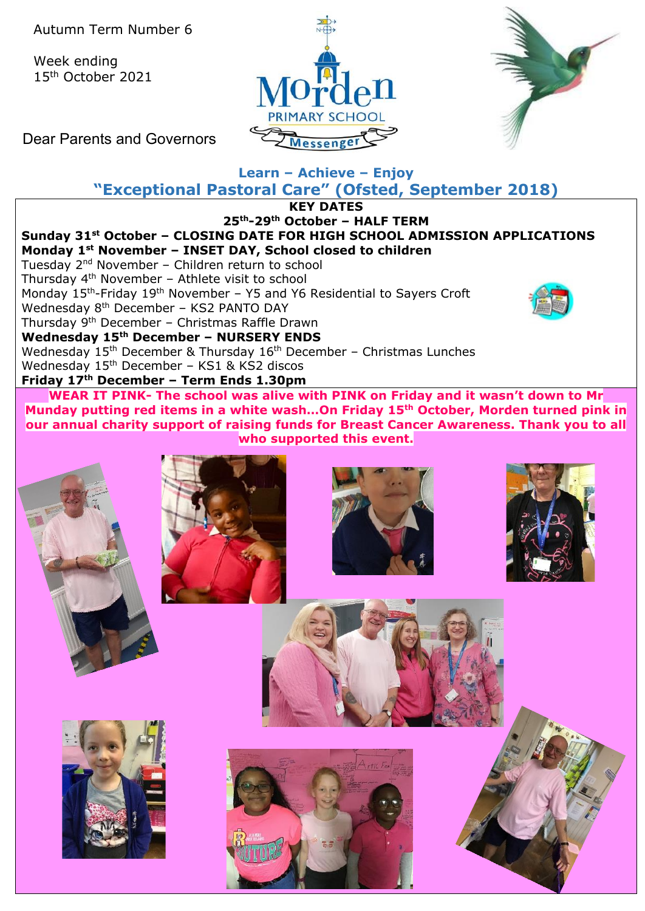Autumn Term Number 6

Week ending 15th October 2021





Dear Parents and Governors

# **Learn – Achieve – Enjoy**

**"Exceptional Pastoral Care" (Ofsted, September 2018)**

**KEY DATES**





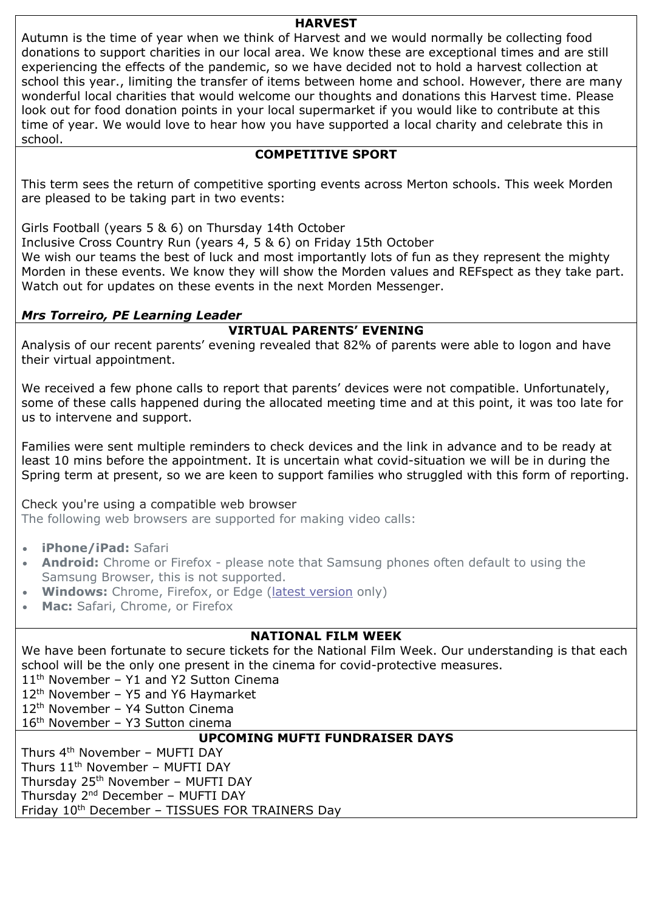#### **HARVEST**

Autumn is the time of year when we think of Harvest and we would normally be collecting food donations to support charities in our local area. We know these are exceptional times and are still experiencing the effects of the pandemic, so we have decided not to hold a harvest collection at school this year., limiting the transfer of items between home and school. However, there are many wonderful local charities that would welcome our thoughts and donations this Harvest time. Please look out for food donation points in your local supermarket if you would like to contribute at this time of year. We would love to hear how you have supported a local charity and celebrate this in school.

#### **COMPETITIVE SPORT**

This term sees the return of competitive sporting events across Merton schools. This week Morden are pleased to be taking part in two events:

Girls Football (years 5 & 6) on Thursday 14th October

Inclusive Cross Country Run (years 4, 5 & 6) on Friday 15th October

We wish our teams the best of luck and most importantly lots of fun as they represent the mighty Morden in these events. We know they will show the Morden values and REFspect as they take part. Watch out for updates on these events in the next Morden Messenger.

#### *Mrs Torreiro, PE Learning Leader*

# **VIRTUAL PARENTS' EVENING**

Analysis of our recent parents' evening revealed that 82% of parents were able to logon and have their virtual appointment.

We received a few phone calls to report that parents' devices were not compatible. Unfortunately, some of these calls happened during the allocated meeting time and at this point, it was too late for us to intervene and support.

Families were sent multiple reminders to check devices and the link in advance and to be ready at least 10 mins before the appointment. It is uncertain what covid-situation we will be in during the Spring term at present, so we are keen to support families who struggled with this form of reporting.

Check you're using a compatible web browser

The following web browsers are supported for making video calls:

- **iPhone/iPad:** Safari
- **Android:** Chrome or Firefox please note that Samsung phones often default to using the Samsung Browser, this is not supported.
- **Windows:** Chrome, Firefox, or Edge [\(latest version](https://www.microsoft.com/en-us/edge) only)
- **Mac:** Safari, Chrome, or Firefox

## **NATIONAL FILM WEEK**

We have been fortunate to secure tickets for the National Film Week. Our understanding is that each school will be the only one present in the cinema for covid-protective measures.

11<sup>th</sup> November - Y1 and Y2 Sutton Cinema

12<sup>th</sup> November - Y5 and Y6 Haymarket

12th November – Y4 Sutton Cinema

16th November – Y3 Sutton cinema

## **UPCOMING MUFTI FUNDRAISER DAYS**

Thurs 4th November – MUFTI DAY Thurs  $11<sup>th</sup>$  November – MUFTI DAY Thursday 25<sup>th</sup> November - MUFTI DAY Thursday 2<sup>nd</sup> December - MUFTI DAY Friday 10<sup>th</sup> December - TISSUES FOR TRAINERS Day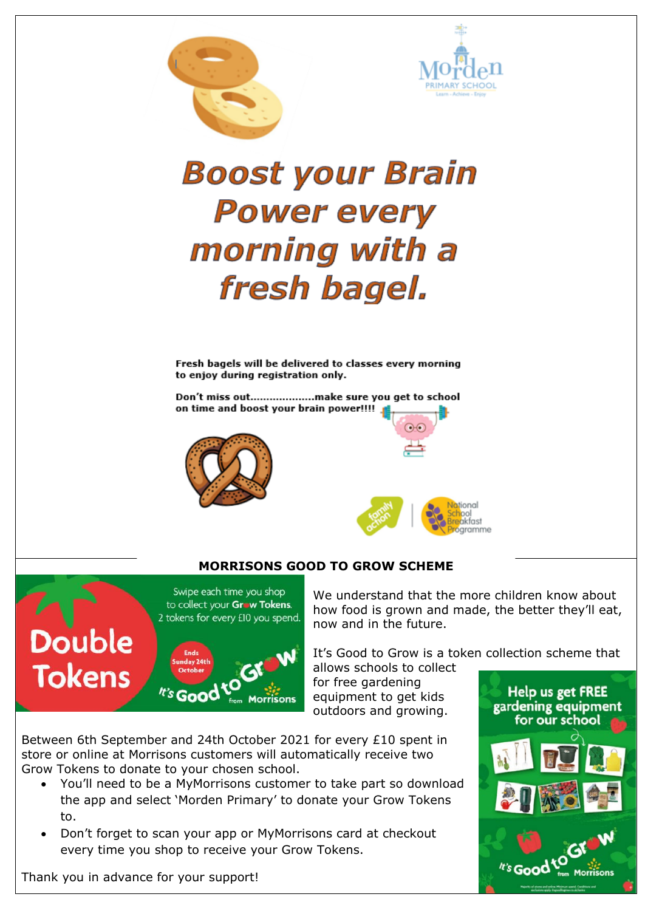



# **Boost your Brain Power every** morning with a fresh bagel.

Fresh bagels will be delivered to classes every morning to enjoy during registration only.

Don't miss out...................make sure you get to school on time and boost your brain power!!!!





#### **MORRISONS GOOD TO GROW SCHEME**



We understand that the more children know about how food is grown and made, the better they'll eat, now and in the future.

It's Good to Grow is a token collection scheme that

allows schools to collect for free gardening equipment to get kids outdoors and growing.

Between 6th September and 24th October 2021 for every £10 spent in store or online at Morrisons customers will automatically receive two Grow Tokens to donate to your chosen school.

- You'll need to be a MyMorrisons customer to take part so download the app and select 'Morden Primary' to donate your Grow Tokens to.
- Don't forget to scan your app or MyMorrisons card at checkout every time you shop to receive your Grow Tokens.

**Help us get FREE** gardening equipment for our school

Thank you in advance for your support!